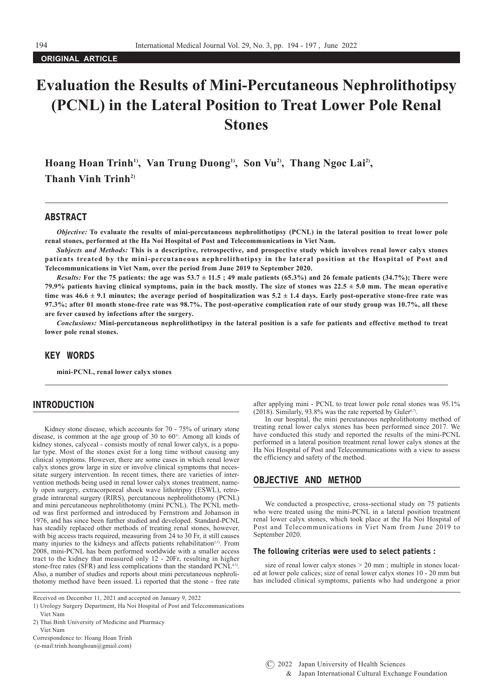**ORIGINAL ARTICLE**

# **Evaluation the Results of Mini-Percutaneous Nephrolithotipsy (PCNL) in the Lateral Position to Treat Lower Pole Renal Stones**

Hoang Hoan Trinh<sup>1)</sup>, Van Trung Duong<sup>1)</sup>, Son Vu<sup>2</sup>, Thang Ngoc Lai<sup>2</sup>, **Thanh Vinh Trinh2)**

# ABSTRACT

*Objective:* **To evaluate the results of mini-percutaneous nephrolithotipsy (PCNL) in the lateral position to treat lower pole renal stones, performed at the Ha Noi Hospital of Post and Telecommunications in Viet Nam.**

*Subjects and Methods:* **This is a descriptive, retrospective, and prospective study which involves renal lower calyx stones patients treated by the mini-percutaneous nephrolithotipsy in the lateral position at the Hospital of Post and Telecommunications in Viet Nam, over the period from June 2019 to September 2020.** 

*Results:* For the 75 patients: the age was  $53.7 \pm 11.5$ ; 49 male patients (65.3%) and 26 female patients (34.7%); There were **79.9% patients having clinical symptoms, pain in the back mostly. The size of stones was 22.5 ± 5.0 mm. The mean operative**  time was  $46.6 \pm 9.1$  minutes; the average period of hospitalization was  $5.2 \pm 1.4$  days. Early post-operative stone-free rate was **97.3%; after 01 month stone-free rate was 98.7%. The post-operative complication rate of our study group was 10.7%, all these are fever caused by infections after the surgery.** 

*Conclusions:* **Mini-percutaneous nephrolithotipsy in the lateral position is a safe for patients and effective method to treat lower pole renal stones.** 

## KEY WORDS

**mini-PCNL, renal lower calyx stones**

# INTRODUCTION

Kidney stone disease, which accounts for 70 - 75% of urinary stone disease, is common at the age group of 30 to  $60^{\circ}$ . Among all kinds of kidney stones, calyceal - consists mostly of renal lower calyx, is a popular type. Most of the stones exist for a long time without causing any clinical symptoms. However, there are some cases in which renal lower calyx stones grow large in size or involve clinical symptoms that necessitate surgery intervention. In recent times, there are varieties of intervention methods being used in renal lower calyx stones treatment, namely open surgery, extracorporeal shock wave lithotripsy (ESWL), retrograde intrarenal surgery (RIRS), percutaneous nephrolithotomy (PCNL) and mini percutaneous nephrolithotomy (mini PCNL). The PCNL method was first performed and introduced by Fernstrom and Johanson in 1976, and has since been further studied and developed. Standard-PCNL has steadily replaced other methods of treating renal stones, however, with big access tracts required, measuring from 24 to 30 Fr, it still causes many injuries to the kidneys and affects patients rehabilitation<sup>2,3)</sup>. From 2008, mini-PCNL has been performed worldwide with a smaller access tract to the kidney that measured only 12 - 20Fr, resulting in higher stone-free rates (SFR) and less complications than the standard PCNL<sup>4,5)</sup>. Also, a number of studies and reports about mini percutaneous nephrolithotomy method have been issued. Li reported that the stone - free rate

Received on December 11, 2021 and accepted on January 9, 2022

after applying mini - PCNL to treat lower pole renal stones was 95.1%  $(2018)$ . Similarly, 93.8% was the rate reported by Guler<sup>6,7)</sup>.

In our hospital, the mini percutaneous nephrolithotomy method of treating renal lower calyx stones has been performed since 2017. We have conducted this study and reported the results of the mini-PCNL performed in a lateral position treatment renal lower calyx stones at the Ha Noi Hospital of Post and Telecommunications with a view to assess the efficiency and safety of the method.

## OBJECTIVE AND METHOD

We conducted a prospective, cross-sectional study on 75 patients who were treated using the mini-PCNL in a lateral position treatment renal lower calyx stones, which took place at the Ha Noi Hospital of Post and Telecommunications in Viet Nam from June 2019 to September 2020.

#### The following criterias were used to select patients :

size of renal lower calyx stones > 20 mm ; multiple in stones located at lower pole calices; size of renal lower calyx stones 10 - 20 mm but has included clinical symptoms, patients who had undergone a prior

<sup>1)</sup> Urology Surgery Department, Ha Noi Hospital of Post and Telecommunications Viet Nam

<sup>2)</sup> Thai Binh University of Medicine and Pharmacy Viet Nam

Correspondence to: Hoang Hoan Trinh

 <sup>(</sup>e-mail:trinh.hoanghoan@gmail.com)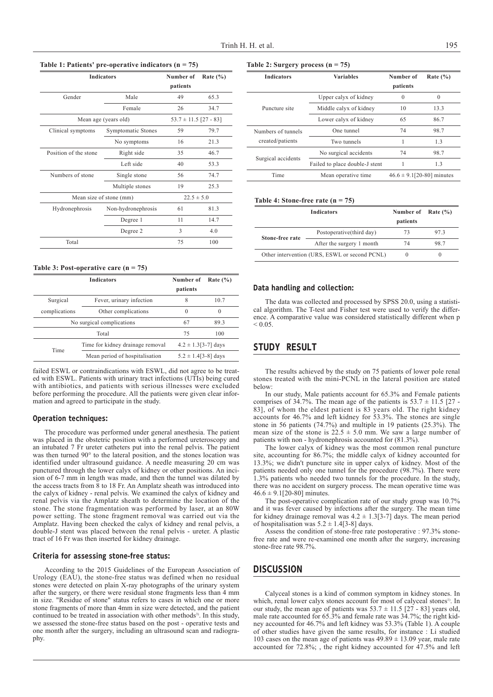**Table 1: Patients' pre-operative indicators (n = 75)**

| <b>Indicators</b>       |                    | Number of<br>patients     | Rate $(\% )$ |
|-------------------------|--------------------|---------------------------|--------------|
| Gender                  | Male               | 49                        | 65.3         |
|                         | Female             | 26                        | 34.7         |
| Mean age (years old)    |                    | $53.7 \pm 11.5$ [27 - 83] |              |
| Clinical symptoms       | Symptomatic Stones | 59                        | 79.7         |
|                         | No symptoms        | 16                        | 21.3         |
| Position of the stone   | Right side         | 35                        | 46.7         |
|                         | Left side          | 40                        | 53.3         |
| Numbers of stone        | Single stone       | 56                        | 74.7         |
|                         | Multiple stones    | 19                        | 25.3         |
| Mean size of stone (mm) |                    | $22.5 \pm 5.0$            |              |
| Hydronephrosis          | Non-hydronephrosis | 61                        | 81.3         |
|                         | Degree 1           | 11                        | 14.7         |
|                         | Degree 2           | 3                         | 4.0          |
| Total                   |                    | 75                        | 100          |

**Table 3: Post-operative care (n = 75)**

| <b>Indicators</b>         |                                  | Number of<br>patients    | Rate $(\% )$ |
|---------------------------|----------------------------------|--------------------------|--------------|
| Surgical                  | Fever, urinary infection         | 8                        | 10.7         |
| complications             | Other complications              | $\Omega$                 | $\Omega$     |
| No surgical complications |                                  | 67                       | 89.3         |
|                           | Total                            | 75                       | 100          |
| Time                      | Time for kidney drainage removal | $4.2 \pm 1.3$ [3-7] days |              |
|                           | Mean period of hospitalisation   | $5.2 \pm 1.4$ [3-8] days |              |

failed ESWL or contraindications with ESWL, did not agree to be treated with ESWL. Patients with urinary tract infections (UTIs) being cured with antibiotics, and patients with serious illnesses were excluded before performing the procedure. All the patients were given clear information and agreed to participate in the study.

#### Operation techniques:

The procedure was performed under general anesthesia. The patient was placed in the obstetric position with a performed ureteroscopy and an intubated 7 Fr ureter catheters put into the renal pelvis. The patient was then turned 90° to the lateral position, and the stones location was identified under ultrasound guidance. A needle measuring 20 cm was punctured through the lower calyx of kidney or other positions. An incision of 6-7 mm in length was made, and then the tunnel was dilated by the access tracts from  $\overline{8}$  to 18 Fr. An Amplatz sheath was introduced into the calyx of kidney - renal pelvis. We examined the calyx of kidney and renal pelvis via the Amplatz sheath to determine the location of the stone. The stone fragmentation was performed by laser, at an 80W power setting. The stone fragment removal was carried out via the Amplatz. Having been checked the calyx of kidney and renal pelvis, a double-J stent was placed between the renal pelvis - ureter. A plastic tract of 16 Fr was then inserted for kidney drainage.

## Criteria for assessing stone-free status:

According to the 2015 Guidelines of the European Association of Urology (EAU), the stone-free status was defined when no residual stones were detected on plain X-ray photographs of the urinary system after the surgery, or there were residual stone fragments less than 4 mm in size. "Residue of stone" status refers to cases in which one or more stone fragments of more than 4mm in size were detected, and the patient continued to be treated in association with other methods<sup>3)</sup>. In this study, we assessed the stone-free status based on the post - operative tests and one month after the surgery, including an ultrasound scan and radiography.

|  | Table 2: Surgery process $(n = 75)$ |  |  |  |
|--|-------------------------------------|--|--|--|
|--|-------------------------------------|--|--|--|

| <b>Indicators</b>                      | <b>Variables</b>               | Number of<br>patients          | Rate $(\% )$ |
|----------------------------------------|--------------------------------|--------------------------------|--------------|
| Puncture site                          | Upper calyx of kidney          | $\theta$                       | $\theta$     |
|                                        | Middle calyx of kidney         | 10                             | 13.3         |
|                                        | Lower calyx of kidney          | 65                             | 86.7         |
| Numbers of tunnels<br>created/patients | One tunnel                     | 74                             | 98.7         |
|                                        | Two tunnels                    |                                | 1.3          |
| Surgical accidents                     | No surgical accidents          | 74                             | 98.7         |
|                                        | Failed to place double-J stent | 1                              | 1.3          |
| Time                                   | Mean operative time            | $46.6 \pm 9.1$ [20-80] minutes |              |

#### **Table 4: Stone-free rate (n = 75)**

|                                               | <b>Indicators</b>         | Number of Rate $(\% )$<br>patients |          |
|-----------------------------------------------|---------------------------|------------------------------------|----------|
| Stone-free rate                               | Postoperative(third day)  | 73                                 | 973      |
|                                               | After the surgery 1 month | 74                                 | 98.7     |
| Other intervention (URS, ESWL or second PCNL) |                           | $\theta$                           | $\theta$ |

### Data handling and collection:

The data was collected and processed by SPSS 20.0, using a statistical algorithm. The T-test and Fisher test were used to verify the difference. A comparative value was considered statistically different when p  $< 0.05$ .

## STUDY RESULT

The results achieved by the study on 75 patients of lower pole renal stones treated with the mini-PCNL in the lateral position are stated below:

In our study, Male patients account for 65.3% and Female patients comprises of 34.7%. The mean age of the patients is  $53.7 \pm 11.5$  [27 -83], of whom the eldest patient is 83 years old. The right kidney accounts for 46.7% and left kidney for 53.3%. The stones are single stone in 56 patients (74.7%) and multiple in 19 patients (25.3%). The mean size of the stone is  $22.5 \pm 5.0$  mm. We saw a large number of patients with non - hydronephrosis accounted for (81.3%).

The lower calyx of kidney was the most common renal puncture site, accounting for 86.7%; the middle calyx of kidney accounted for 13.3%; we didn't puncture site in upper calyx of kidney. Most of the patients needed only one tunnel for the procedure (98.7%). There were 1.3% patients who needed two tunnels for the procedure. In the study, there was no accident on surgery process. The mean operative time was  $46.6 \pm 9.1$ [20-80] minutes.

The post-operative complication rate of our study group was 10.7% and it was fever caused by infections after the surgery. The mean time for kidney drainage removal was  $4.2 \pm 1.3[3-7]$  days. The mean period of hospitalisation was  $5.2 \pm 1.4$ [3-8] days.

Assess the condition of stone-free rate postoperative : 97.3% stonefree rate and were re-examined one month after the surgery, increasing stone-free rate 98.7%.

# **DISCUSSION**

Calyceal stones is a kind of common symptom in kidney stones. In which, renal lower calyx stones account for most of calyceal stones<sup>1)</sup>. In our study, the mean age of patients was  $53.7 \pm 11.5$  [27 - 83] years old, male rate accounted for 65.3% and female rate was 34.7%; the right kidney accounted for 46.7% and left kidney was 53.3% (Table 1). A couple of other studies have given the same results, for instance : Li studied 103 cases on the mean age of patients was  $49.89 \pm 13.09$  year, male rate accounted for 72.8%; , the right kidney accounted for 47.5% and left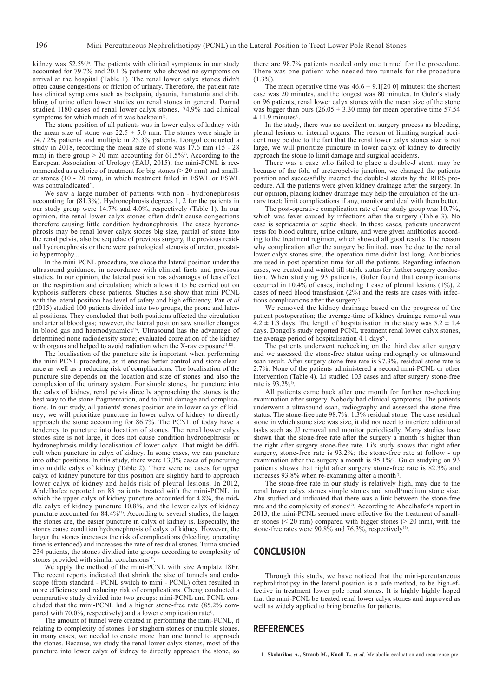kidney was 52.5%<sup>6</sup>. The patients with clinical symptoms in our study accounted for 79.7% and 20.1 % patients who showed no symptoms on arrival at the hospital (Table 1). The renal lower calyx stones didn't often cause congestions or friction of urinary. Therefore, the patient rate has clinical symptoms such as backpain, dysuria, hamaturia and dribbling of urine often lower studies on renal stones in general. Darrad studied 1180 cases of renal lower calyx stones, 74.9% had clinical symptoms for which much of it was backpain<sup>8)</sup>.

The stone position of all patients was in lower calyx of kidney with the mean size of stone was  $22.5 \pm 5.0$  mm. The stones were single in 74.7.2% patients and multiple in 25.3% patients. Dongol conducted a study in 2018, recording the mean size of stone was 17.6 mm (15 - 28 mm) in there group  $> 20$  mm accounting for 61,5%<sup>9</sup>. According to the European Association of Urology (EAU, 2015), the mini-PCNL is recommended as a choice of treatment for big stones  $(> 20 \text{ mm})$  and smaller stones (10 - 20 mm), in which treatment failed in ESWL or ESWL was contraindicated<sup>3)</sup>.

We saw a large number of patients with non - hydronephrosis accounting for (81.3%). Hydronephrosis degrees 1, 2 for the patients in our study group were 14.7% and 4.0%, respectively (Table 1). In our opinion, the renal lower calyx stones often didn't cause congestions therefore causing little condition hydronephrosis. The cases hydronephrosis may be renal lower calyx stones big size, partial of stone into the renal pelvis, also be sequelae of previous surgery, the previous residual hydronephrosis or there were pathological stenosis of ureter, prostatic hypertrophy...

In the mini-PCNL procedure, we chose the lateral position under the ultrasound guidance, in accordance with clinical facts and previous studies. In our opinion, the lateral position has advantages of less effect on the respiration and circulation; which allows it to be carried out on kyphosis sufferers obese patients. Studies also show that mini PCNL with the lateral position has level of safety and high efficiency. Pan *et al* (2015) studied 100 patients divided into two groups, the prone and lateral positions. They concluded that both positions affected the circulation and arterial blood gas; however, the lateral position saw smaller changes in blood gas and haemodynamics<sup>10)</sup>. Ultrasound has the advantage of determined none radiodensity stone; evaluated correlation of the kidney with organs and helped to avoid radiation when the X-ray exposure $11,12$ .

The localisation of the puncture site is important when performing the mini-PCNL procedure, as it ensures better control and stone clearance as well as a reducing risk of complications. The localisation of the puncture site depends on the location and size of stones and also the complexion of the urinary system. For simple stones, the puncture into the calyx of kidney, renal pelvis directly approaching the stones is the best way to the stone fragmentation, and to limit damage and complications. In our study, all patients' stones position are in lower calyx of kidney; we will prioritize puncture in lower calyx of kidney to directly approach the stone accounting for 86.7%. The PCNL of today have a tendency to puncture into location of stones. The renal lower calyx stones size is not large, it does not cause condition hydronephrosis or hydronephrosis mildly localisation of lower calyx. That might be difficult when puncture in calyx of kidney. In some cases, we can puncture into other positions. In this study, there were 13,3% cases of puncturing into middle calyx of kidney (Table 2). There were no cases for upper calyx of kidney puncture for this position are slightly hard to approach lower calyx of kidney and holds risk of pleural lesions. In 2012, Abdelhafez reported on 83 patients treated with the mini-PCNL, in which the upper calyx of kidney puncture accounted for 4.8%, the middle calyx of kidney puncture 10.8%, and the lower calyx of kidney puncture accounted for 84.4%<sup>13)</sup>. According to several studies, the larger the stones are, the easier puncture in calyx of kidney is. Especially, the stones cause condition hydronephrosis of calyx of kidney. However, the larger the stones increases the risk of complications (bleeding, operating time is extended) and increases the rate of residual stones. Turna studied 234 patients, the stones dividied into groups according to complexity of stones provided with similar conclusions<sup>14)</sup>.

We apply the method of the mini-PCNL with size Amplatz 18Fr. The recent reports indicated that shrink the size of tunnels and endoscope (from standard - PCNL switch to mini - PCNL) often resulted in more efficiency and reducing risk of complications. Cheng conducted a comparative study divided into two groups: mini-PCNL and PCNL concluded that the mini-PCNL had a higher stone-free rate (85.2% compared with 70.0%, respectively) and a lower complication rate<sup>4)</sup>

The amount of tunnel were created in performing the mini-PCNL, it relating to complexity of stones. For staghorn stones or multiple stones, in many cases, we needed to create more than one tunnel to approach the stones. Because, we study the renal lower calyx stones, most of the puncture into lower calyx of kidney to directly approach the stone, so

there are 98.7% patients needed only one tunnel for the procedure. There was one patient who needed two tunnels for the procedure  $(1.3\%)$ .

The mean operative time was  $46.6 \pm 9.1$ [20 0] minutes: the shortest case was 20 minutes, and the longest was 80 minutes. In Guler's study on 96 patients, renal lower calyx stones with the mean size of the stone was bigger than ours ( $26.05 \pm 3.30$  mm) for mean operative time 57.54  $\pm$  11.9 minutes<sup>7</sup>.

In the study, there was no accident on surgery process as bleeding, pleural lesions or internal organs. The reason of limiting surgical accident may be due to the fact that the renal lower calyx stones size is not large, we will prioritize puncture in lower calyx of kidney to directly approach the stone to limit damage and surgical accidents.

There was a case who failed to place a double-J stent, may be because of the fold of ureteropelvic junction, we changed the patients position and successfully inserted the double-J stents by the RIRS procedure. All the patients were given kidney drainage after the surgery. In our opinion, placing kidney drainage may help the circulation of the urinary tract; limit complications if any, monitor and deal with them better.

The post-operative complication rate of our study group was 10.7%, which was fever caused by infections after the surgery (Table 3). No case is septicaemia or septic shock. In these cases, patients underwent tests for blood culture, urine culture, and were given antibiotics according to the treatment regimen, which showed all good results. The reason why complication after the surgery be limited, may be due to the renal lower calyx stones size, the operation time didn't last long. Antibiotics are used in post-operation time for all the patients. Regarding infection cases, we treated and waited till stable status for further surgery conduction. When studying 93 patients, Guler found that complications occurred in 10.4% of cases, including 1 case of pleural lesions (1%), 2 cases of need blood transfusion (2%) and the rests are cases with infections complications after the surgery<sup>7</sup>.

We removed the kidney drainage based on the progress of the patient postoperation; the average-time of kidney drainage removal was  $4.2 \pm 1.3$  days. The length of hospitalisation in the study was  $5.2 \pm 1.4$ days. Dongol's study reported PCNL treatment renal lower calyx stones, the average period of hospitalisation 4.1 days<sup>9)</sup>

The patients underwent rechecking on the third day after surgery and we assessed the stone-free status using radiography or ultrasound scan result. After surgery stone-free rate is 97.3%, residual stone rate is 2.7%. None of the patients administered a second mini-PCNL or other intervention (Table 4). Li studied 103 cases and after surgery stone-free rate is 93.2%<sup>6)</sup>.

All patients came back after one month for further re-checking examination after surgery. Nobody had clinical symptoms. The patients underwent a ultrasound scan, radiography and assessed the stone-free status. The stone-free rate 98.7%; 1.3% residual stone. The case residual stone in which stone size was size, it did not need to interfere additional tasks such as JJ removal and monitor periodically. Many studies have shown that the stone-free rate after the surgery a month is higher than the right after surgery stone-free rate. Li's study shows that right after surgery, stone-free rate is 93.2%; the stone-free rate at follow - up examination after the surgery a month is 95.1%<sup>6</sup>. Guler studying on 93 patients shows that right after surgery stone-free rate is 82.3% and increases  $93.8\%$  when re-examining after a month<sup>7)</sup>.

The stone-free rate in our study is relatively high, may due to the renal lower calyx stones simple stones and small/medium stone size. Zhu studied and indicated that there was a link between the stone-free rate and the complexity of stones<sup>12</sup>. According to Abdelhafez's report in 2013, the mini-PCNL seemed more effective for the treatment of smaller stones ( $\leq$  20 mm) compared with bigger stones ( $\geq$  20 mm), with the stone-free rates were 90.8% and 76.3%, respectively<sup>15)</sup>.

## **CONCLUSION**

Through this study, we have noticed that the mini-percutaneous nephrolithotipsy in the lateral position is a safe method, to be high-effective in treatment lower pole renal stones. It is highly highly hoped that the mini-PCNL be treated renal lower calyx stones and improved as well as widely applied to bring benefits for patients.

## REFERENCES

1. **Skolarikos A., Straub M., Knoll T.,** *et al*. Metabolic evaluation and recurrence pre-